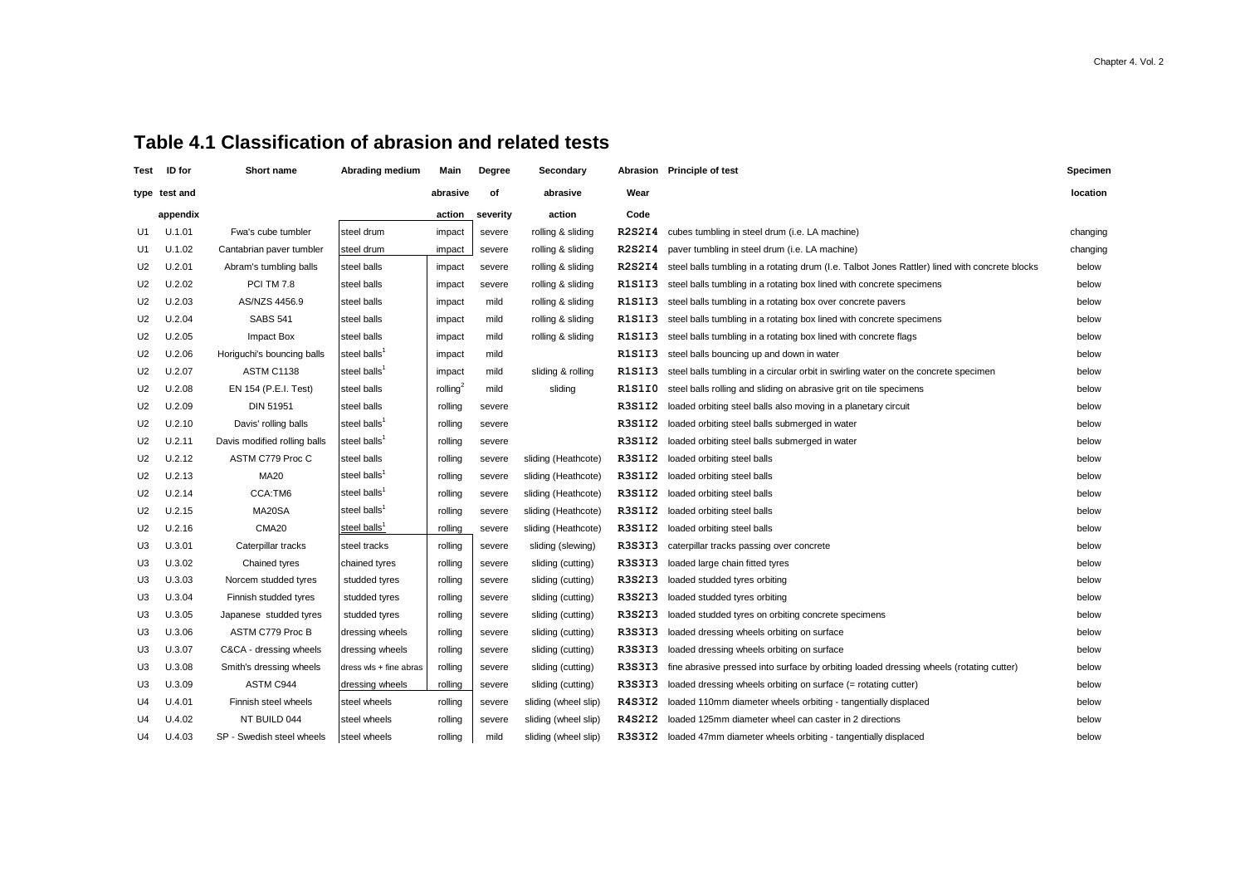## **Table 4.1 Classification of abrasion and related tests**

| Test           | ID for        | Short name                   | Abrading medium          | Main                 | Degree   | Secondary            |                                              | Abrasion Principle of test                                                                     | Specimen |
|----------------|---------------|------------------------------|--------------------------|----------------------|----------|----------------------|----------------------------------------------|------------------------------------------------------------------------------------------------|----------|
|                | type test and |                              |                          | abrasive             | Οf       | abrasive             | Wear                                         |                                                                                                | location |
|                | appendix      |                              |                          | action               | severity | action               | Code                                         |                                                                                                |          |
| U1             | U.1.01        | Fwa's cube tumbler           | steel drum               | impact               | severe   | rolling & sliding    | <b>R2S2I4</b>                                | cubes tumbling in steel drum (i.e. LA machine)                                                 | changing |
| U1             | U.1.02        | Cantabrian paver tumbler     | steel drum               | impact               | severe   | rolling & sliding    | R <sub>2</sub> S <sub>2</sub> I <sub>4</sub> | paver tumbling in steel drum (i.e. LA machine)                                                 | changing |
| U <sub>2</sub> | U.2.01        | Abram's tumbling balls       | steel balls              | impact               | severe   | rolling & sliding    | <b>R2S2I4</b>                                | steel balls tumbling in a rotating drum (I.e. Talbot Jones Rattler) lined with concrete blocks | below    |
| U <sub>2</sub> | U.2.02        | <b>PCI TM 7.8</b>            | steel balls              | impact               | severe   | rolling & sliding    | <b>R1S1I3</b>                                | steel balls tumbling in a rotating box lined with concrete specimens                           | below    |
| U2             | U.2.03        | AS/NZS 4456.9                | steel balls              | impact               | mild     | rolling & sliding    | <b>R1S1I3</b>                                | steel balls tumbling in a rotating box over concrete pavers                                    | below    |
| U <sub>2</sub> | U.2.04        | <b>SABS 541</b>              | steel balls              | impact               | mild     | rolling & sliding    | R1S1I3                                       | steel balls tumbling in a rotating box lined with concrete specimens                           | below    |
| U <sub>2</sub> | U.2.05        | Impact Box                   | steel balls              | impact               | mild     | rolling & sliding    | R1S1I3                                       | steel balls tumbling in a rotating box lined with concrete flags                               | below    |
| U2             | U.2.06        | Horiguchi's bouncing balls   | steel balls <sup>1</sup> | impact               | mild     |                      | R1S1I3                                       | steel balls bouncing up and down in water                                                      | below    |
| U <sub>2</sub> | U.2.07        | ASTM C1138                   | steel balls <sup>1</sup> | impact               | mild     | sliding & rolling    | <b>R1S1I3</b>                                | steel balls tumbling in a circular orbit in swirling water on the concrete specimen            | below    |
| U2             | U.2.08        | EN 154 (P.E.I. Test)         | steel balls              | rolling <sup>2</sup> | mild     | sliding              | R1S1I0                                       | steel balls rolling and sliding on abrasive grit on tile specimens                             | below    |
| U <sub>2</sub> | U.2.09        | DIN 51951                    | steel balls              | rolling              | severe   |                      | R3S1I2                                       | loaded orbiting steel balls also moving in a planetary circuit                                 | below    |
| U <sub>2</sub> | U.2.10        | Davis' rolling balls         | steel balls <sup>1</sup> | rolling              | severe   |                      | R3S1I2                                       | loaded orbiting steel balls submerged in water                                                 | below    |
| U2             | U.2.11        | Davis modified rolling balls | steel balls <sup>1</sup> | rolling              | severe   |                      | R3S1I2                                       | loaded orbiting steel balls submerged in water                                                 | below    |
| U <sub>2</sub> | U.2.12        | ASTM C779 Proc C             | steel balls              | rolling              | severe   | sliding (Heathcote)  | R3S1I2                                       | loaded orbiting steel balls                                                                    | below    |
| U <sub>2</sub> | U.2.13        | <b>MA20</b>                  | steel balls <sup>1</sup> | rolling              | severe   | sliding (Heathcote)  | R3S1I2                                       | loaded orbiting steel balls                                                                    | below    |
| U <sub>2</sub> | U.2.14        | CCA:TM6                      | steel balls <sup>1</sup> | rolling              | severe   | sliding (Heathcote)  | R3S1I2                                       | loaded orbiting steel balls                                                                    | below    |
| U <sub>2</sub> | U.2.15        | MA20SA                       | steel balls <sup>1</sup> | rolling              | severe   | sliding (Heathcote)  | R3S1I2                                       | loaded orbiting steel balls                                                                    | below    |
| U2             | U.2.16        | CMA <sub>20</sub>            | steel balls <sup>1</sup> | rolling              | severe   | sliding (Heathcote)  | R3S1I2                                       | loaded orbiting steel balls                                                                    | below    |
| U <sub>3</sub> | U.3.01        | Caterpillar tracks           | steel tracks             | rolling              | severe   | sliding (slewing)    | R3S3I3                                       | caterpillar tracks passing over concrete                                                       | below    |
| U <sub>3</sub> | U.3.02        | Chained tyres                | chained tyres            | rolling              | severe   | sliding (cutting)    | R3S3I3                                       | loaded large chain fitted tyres                                                                | below    |
| U3             | U.3.03        | Norcem studded tyres         | studded tyres            | rolling              | severe   | sliding (cutting)    | R3S2I3                                       | loaded studded tyres orbiting                                                                  | below    |
| U <sub>3</sub> | U.3.04        | Finnish studded tyres        | studded tyres            | rolling              | severe   | sliding (cutting)    | R3S2I3                                       | loaded studded tyres orbiting                                                                  | below    |
| U3             | U.3.05        | Japanese studded tyres       | studded tyres            | rolling              | severe   | sliding (cutting)    | R3S2I3                                       | loaded studded tyres on orbiting concrete specimens                                            | below    |
| U <sub>3</sub> | U.3.06        | ASTM C779 Proc B             | dressing wheels          | rolling              | severe   | sliding (cutting)    | R3S3I3                                       | loaded dressing wheels orbiting on surface                                                     | below    |
| U <sub>3</sub> | U.3.07        | C&CA - dressing wheels       | dressing wheels          | rolling              | severe   | sliding (cutting)    | R3S3I3                                       | loaded dressing wheels orbiting on surface                                                     | below    |
| U3             | U.3.08        | Smith's dressing wheels      | dress wls + fine abras   | rolling              | severe   | sliding (cutting)    | R3S3I3                                       | fine abrasive pressed into surface by orbiting loaded dressing wheels (rotating cutter)        | below    |
| U <sub>3</sub> | U.3.09        | ASTM C944                    | dressing wheels          | rolling              | severe   | sliding (cutting)    | R3S3I3                                       | loaded dressing wheels orbiting on surface (= rotating cutter)                                 | below    |
| U4             | U.4.01        | Finnish steel wheels         | steel wheels             | rolling              | severe   | sliding (wheel slip) | R4S3I2                                       | loaded 110mm diameter wheels orbiting - tangentially displaced                                 | below    |
| U4             | U.4.02        | NT BUILD 044                 | steel wheels             | rolling              | severe   | sliding (wheel slip) | R4S2I2                                       | loaded 125mm diameter wheel can caster in 2 directions                                         | below    |
| U4             | U.4.03        | SP - Swedish steel wheels    | steel wheels             | rolling              | mild     | sliding (wheel slip) | R3S3I2                                       | loaded 47mm diameter wheels orbiting - tangentially displaced                                  | below    |